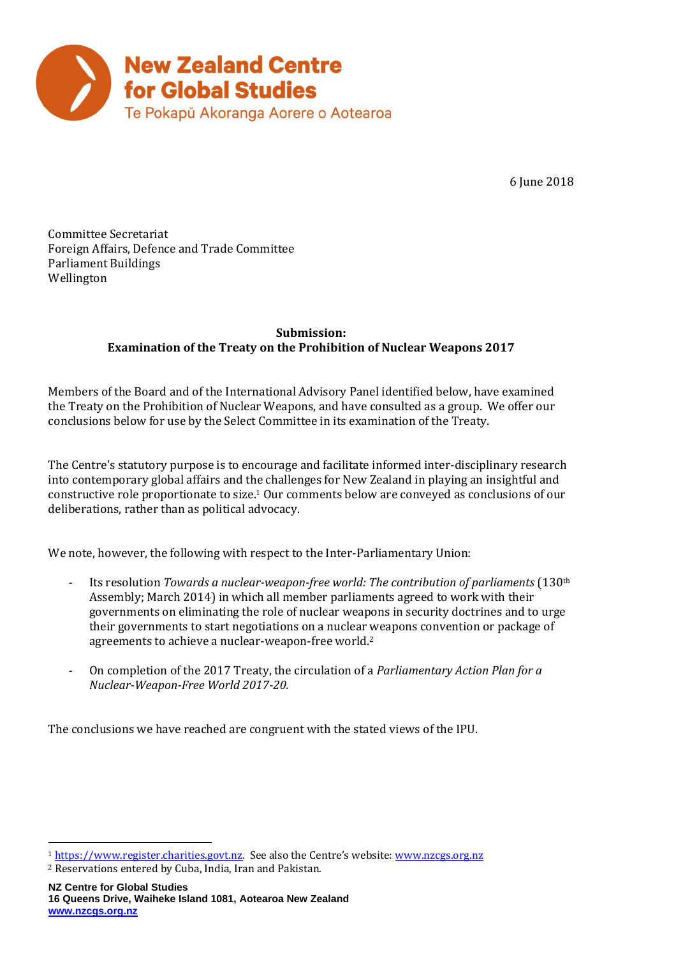

6 June 2018

Committee Secretariat Foreign Affairs, Defence and Trade Committee Parliament Buildings Wellington

## **Submission: Examination of the Treaty on the Prohibition of Nuclear Weapons 2017**

Members of the Board and of the International Advisory Panel identified below, have examined the Treaty on the Prohibition of Nuclear Weapons, and have consulted as a group. We offer our conclusions below for use by the Select Committee in its examination of the Treaty.

The Centre's statutory purpose is to encourage and facilitate informed inter-disciplinary research into contemporary global affairs and the challenges for New Zealand in playing an insightful and constructive role proportionate to size.<sup>1</sup> Our comments below are conveyed as conclusions of our deliberations, rather than as political advocacy.

We note, however, the following with respect to the Inter-Parliamentary Union:

- Its resolution *Towards a nuclear-weapon-free world: The contribution of parliaments* (130th Assembly; March 2014) in which all member parliaments agreed to work with their governments on eliminating the role of nuclear weapons in security doctrines and to urge their governments to start negotiations on a nuclear weapons convention or package of agreements to achieve a nuclear-weapon-free world. 2
- On completion of the 2017 Treaty, the circulation of a *Parliamentary Action Plan for a Nuclear-Weapon-Free World 2017-20.*

The conclusions we have reached are congruent with the stated views of the IPU.

 $\overline{a}$ <sup>1</sup> [https://www.register.charities.govt.nz](https://www.register.charities.govt.nz/)</u>. See also the Centre's website: [www.nzcgs.org.nz](http://www.nzcgs.org.nz/)

<sup>2</sup> Reservations entered by Cuba, India, Iran and Pakistan.